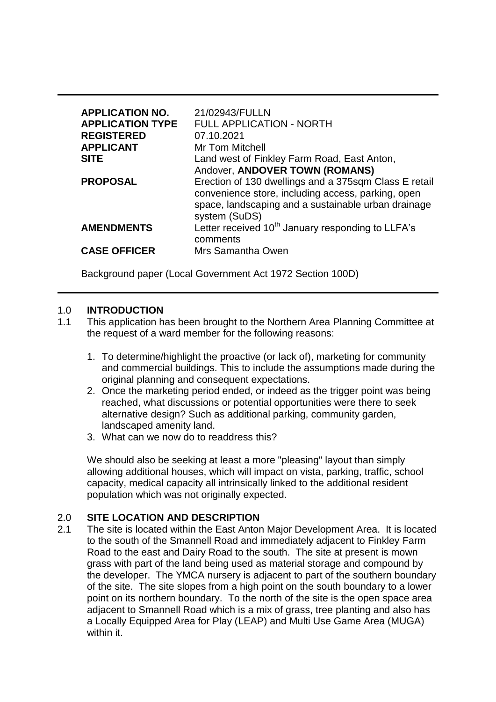| <b>APPLICATION NO.</b><br><b>APPLICATION TYPE</b><br><b>REGISTERED</b><br><b>APPLICANT</b> | 21/02943/FULLN<br><b>FULL APPLICATION - NORTH</b><br>07.10.2021<br>Mr Tom Mitchell                                                                                                  |
|--------------------------------------------------------------------------------------------|-------------------------------------------------------------------------------------------------------------------------------------------------------------------------------------|
| <b>SITE</b>                                                                                | Land west of Finkley Farm Road, East Anton,<br>Andover, ANDOVER TOWN (ROMANS)                                                                                                       |
| <b>PROPOSAL</b>                                                                            | Erection of 130 dwellings and a 375sqm Class E retail<br>convenience store, including access, parking, open<br>space, landscaping and a sustainable urban drainage<br>system (SuDS) |
| <b>AMENDMENTS</b>                                                                          | Letter received 10 <sup>th</sup> January responding to LLFA's<br>comments                                                                                                           |
| <b>CASE OFFICER</b>                                                                        | Mrs Samantha Owen                                                                                                                                                                   |

Background paper (Local Government Act 1972 Section 100D)

#### 1.0 **INTRODUCTION**

- 1.1 This application has been brought to the Northern Area Planning Committee at the request of a ward member for the following reasons:
	- 1. To determine/highlight the proactive (or lack of), marketing for community and commercial buildings. This to include the assumptions made during the original planning and consequent expectations.
	- 2. Once the marketing period ended, or indeed as the trigger point was being reached, what discussions or potential opportunities were there to seek alternative design? Such as additional parking, community garden, landscaped amenity land.
	- 3. What can we now do to readdress this?

We should also be seeking at least a more "pleasing" layout than simply allowing additional houses, which will impact on vista, parking, traffic, school capacity, medical capacity all intrinsically linked to the additional resident population which was not originally expected.

# 2.0 **SITE LOCATION AND DESCRIPTION**

2.1 The site is located within the East Anton Major Development Area. It is located to the south of the Smannell Road and immediately adjacent to Finkley Farm Road to the east and Dairy Road to the south. The site at present is mown grass with part of the land being used as material storage and compound by the developer. The YMCA nursery is adjacent to part of the southern boundary of the site. The site slopes from a high point on the south boundary to a lower point on its northern boundary. To the north of the site is the open space area adjacent to Smannell Road which is a mix of grass, tree planting and also has a Locally Equipped Area for Play (LEAP) and Multi Use Game Area (MUGA) within it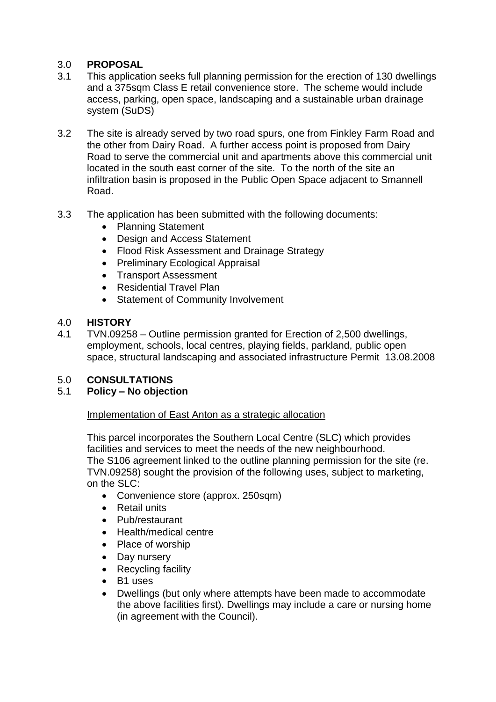# 3.0 **PROPOSAL**

- 3.1 This application seeks full planning permission for the erection of 130 dwellings and a 375 sqm Class E retail convenience store. The scheme would include access, parking, open space, landscaping and a sustainable urban drainage system (SuDS)
- 3.2 The site is already served by two road spurs, one from Finkley Farm Road and the other from Dairy Road. A further access point is proposed from Dairy Road to serve the commercial unit and apartments above this commercial unit located in the south east corner of the site. To the north of the site an infiltration basin is proposed in the Public Open Space adjacent to Smannell Road.
- 3.3 The application has been submitted with the following documents:
	- Planning Statement
	- Design and Access Statement
	- Flood Risk Assessment and Drainage Strategy
	- Preliminary Ecological Appraisal
	- Transport Assessment
	- Residential Travel Plan
	- Statement of Community Involvement
- 4.0 **HISTORY**
- 4.1 TVN.09258 Outline permission granted for Erection of 2,500 dwellings, employment, schools, local centres, playing fields, parkland, public open space, structural landscaping and associated infrastructure Permit 13.08.2008

# 5.0 **CONSULTATIONS**

# 5.1 **Policy – No objection**

# Implementation of East Anton as a strategic allocation

This parcel incorporates the Southern Local Centre (SLC) which provides facilities and services to meet the needs of the new neighbourhood. The S106 agreement linked to the outline planning permission for the site (re. TVN.09258) sought the provision of the following uses, subject to marketing, on the SLC:

- Convenience store (approx. 250sqm)
- Retail units
- Pub/restaurant
- Health/medical centre
- Place of worship
- Day nursery
- Recycling facility
- B1 uses
- Dwellings (but only where attempts have been made to accommodate the above facilities first). Dwellings may include a care or nursing home (in agreement with the Council).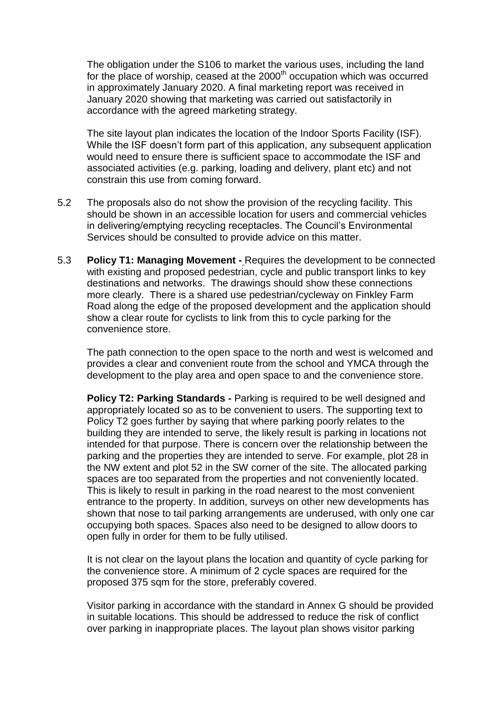The obligation under the S106 to market the various uses, including the land for the place of worship, ceased at the  $2000<sup>th</sup>$  occupation which was occurred in approximately January 2020. A final marketing report was received in January 2020 showing that marketing was carried out satisfactorily in accordance with the agreed marketing strategy.

The site layout plan indicates the location of the Indoor Sports Facility (ISF). While the ISF doesn't form part of this application, any subsequent application would need to ensure there is sufficient space to accommodate the ISF and associated activities (e.g. parking, loading and delivery, plant etc) and not constrain this use from coming forward.

- 5.2 The proposals also do not show the provision of the recycling facility. This should be shown in an accessible location for users and commercial vehicles in delivering/emptying recycling receptacles. The Council's Environmental Services should be consulted to provide advice on this matter.
- 5.3 **Policy T1: Managing Movement -** Requires the development to be connected with existing and proposed pedestrian, cycle and public transport links to key destinations and networks. The drawings should show these connections more clearly. There is a shared use pedestrian/cycleway on Finkley Farm Road along the edge of the proposed development and the application should show a clear route for cyclists to link from this to cycle parking for the convenience store.

The path connection to the open space to the north and west is welcomed and provides a clear and convenient route from the school and YMCA through the development to the play area and open space to and the convenience store.

**Policy T2: Parking Standards -** Parking is required to be well designed and appropriately located so as to be convenient to users. The supporting text to Policy T2 goes further by saying that where parking poorly relates to the building they are intended to serve, the likely result is parking in locations not intended for that purpose. There is concern over the relationship between the parking and the properties they are intended to serve. For example, plot 28 in the NW extent and plot 52 in the SW corner of the site. The allocated parking spaces are too separated from the properties and not conveniently located. This is likely to result in parking in the road nearest to the most convenient entrance to the property. In addition, surveys on other new developments has shown that nose to tail parking arrangements are underused, with only one car occupying both spaces. Spaces also need to be designed to allow doors to open fully in order for them to be fully utilised.

It is not clear on the layout plans the location and quantity of cycle parking for the convenience store. A minimum of 2 cycle spaces are required for the proposed 375 sqm for the store, preferably covered.

Visitor parking in accordance with the standard in Annex G should be provided in suitable locations. This should be addressed to reduce the risk of conflict over parking in inappropriate places. The layout plan shows visitor parking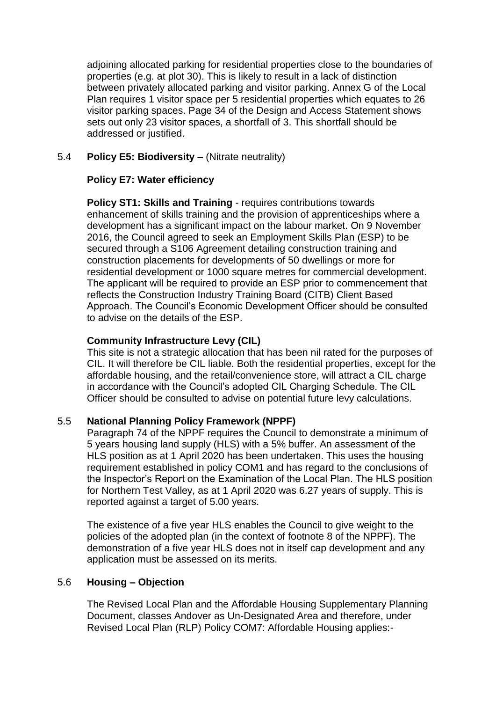adjoining allocated parking for residential properties close to the boundaries of properties (e.g. at plot 30). This is likely to result in a lack of distinction between privately allocated parking and visitor parking. Annex G of the Local Plan requires 1 visitor space per 5 residential properties which equates to 26 visitor parking spaces. Page 34 of the Design and Access Statement shows sets out only 23 visitor spaces, a shortfall of 3. This shortfall should be addressed or justified.

# 5.4 **Policy E5: Biodiversity** – (Nitrate neutrality)

# **Policy E7: Water efficiency**

**Policy ST1: Skills and Training** - requires contributions towards enhancement of skills training and the provision of apprenticeships where a development has a significant impact on the labour market. On 9 November 2016, the Council agreed to seek an Employment Skills Plan (ESP) to be secured through a S106 Agreement detailing construction training and construction placements for developments of 50 dwellings or more for residential development or 1000 square metres for commercial development. The applicant will be required to provide an ESP prior to commencement that reflects the Construction Industry Training Board (CITB) Client Based Approach. The Council's Economic Development Officer should be consulted to advise on the details of the ESP.

# **Community Infrastructure Levy (CIL)**

This site is not a strategic allocation that has been nil rated for the purposes of CIL. It will therefore be CIL liable. Both the residential properties, except for the affordable housing, and the retail/convenience store, will attract a CIL charge in accordance with the Council's adopted CIL Charging Schedule. The CIL Officer should be consulted to advise on potential future levy calculations.

# 5.5 **National Planning Policy Framework (NPPF)**

Paragraph 74 of the NPPF requires the Council to demonstrate a minimum of 5 years housing land supply (HLS) with a 5% buffer. An assessment of the HLS position as at 1 April 2020 has been undertaken. This uses the housing requirement established in policy COM1 and has regard to the conclusions of the Inspector's Report on the Examination of the Local Plan. The HLS position for Northern Test Valley, as at 1 April 2020 was 6.27 years of supply. This is reported against a target of 5.00 years.

The existence of a five year HLS enables the Council to give weight to the policies of the adopted plan (in the context of footnote 8 of the NPPF). The demonstration of a five year HLS does not in itself cap development and any application must be assessed on its merits.

# 5.6 **Housing – Objection**

The Revised Local Plan and the Affordable Housing Supplementary Planning Document, classes Andover as Un-Designated Area and therefore, under Revised Local Plan (RLP) Policy COM7: Affordable Housing applies:-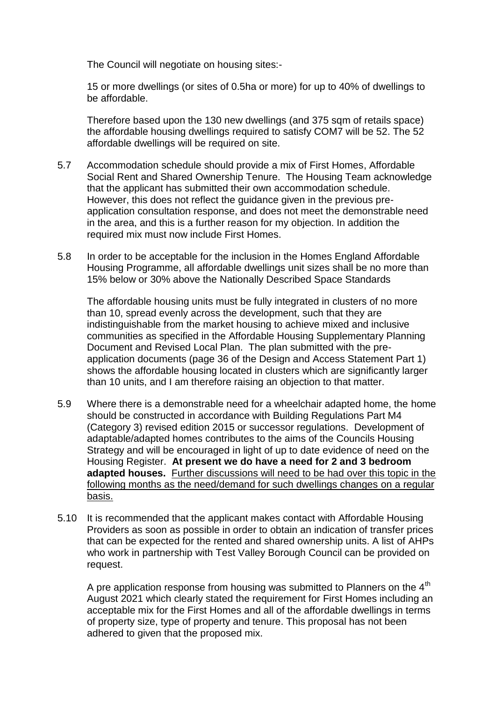The Council will negotiate on housing sites:-

15 or more dwellings (or sites of 0.5ha or more) for up to 40% of dwellings to be affordable.

Therefore based upon the 130 new dwellings (and 375 sqm of retails space) the affordable housing dwellings required to satisfy COM7 will be 52. The 52 affordable dwellings will be required on site.

- 5.7 Accommodation schedule should provide a mix of First Homes, Affordable Social Rent and Shared Ownership Tenure. The Housing Team acknowledge that the applicant has submitted their own accommodation schedule. However, this does not reflect the guidance given in the previous preapplication consultation response, and does not meet the demonstrable need in the area, and this is a further reason for my objection. In addition the required mix must now include First Homes.
- 5.8 In order to be acceptable for the inclusion in the Homes England Affordable Housing Programme, all affordable dwellings unit sizes shall be no more than 15% below or 30% above the Nationally Described Space Standards

The affordable housing units must be fully integrated in clusters of no more than 10, spread evenly across the development, such that they are indistinguishable from the market housing to achieve mixed and inclusive communities as specified in the Affordable Housing Supplementary Planning Document and Revised Local Plan. The plan submitted with the preapplication documents (page 36 of the Design and Access Statement Part 1) shows the affordable housing located in clusters which are significantly larger than 10 units, and I am therefore raising an objection to that matter.

- 5.9 Where there is a demonstrable need for a wheelchair adapted home, the home should be constructed in accordance with Building Regulations Part M4 (Category 3) revised edition 2015 or successor regulations. Development of adaptable/adapted homes contributes to the aims of the Councils Housing Strategy and will be encouraged in light of up to date evidence of need on the Housing Register. **At present we do have a need for 2 and 3 bedroom adapted houses.** Further discussions will need to be had over this topic in the following months as the need/demand for such dwellings changes on a regular basis.
- 5.10 It is recommended that the applicant makes contact with Affordable Housing Providers as soon as possible in order to obtain an indication of transfer prices that can be expected for the rented and shared ownership units. A list of AHPs who work in partnership with Test Valley Borough Council can be provided on request.

A pre application response from housing was submitted to Planners on the  $4<sup>th</sup>$ August 2021 which clearly stated the requirement for First Homes including an acceptable mix for the First Homes and all of the affordable dwellings in terms of property size, type of property and tenure. This proposal has not been adhered to given that the proposed mix.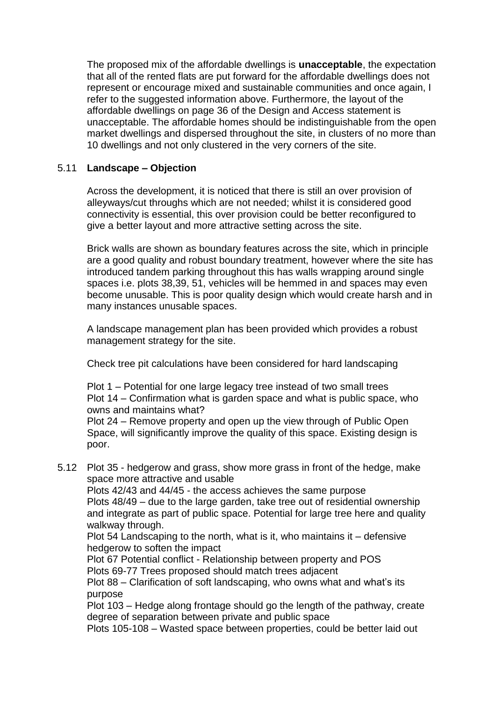The proposed mix of the affordable dwellings is **unacceptable**, the expectation that all of the rented flats are put forward for the affordable dwellings does not represent or encourage mixed and sustainable communities and once again, I refer to the suggested information above. Furthermore, the layout of the affordable dwellings on page 36 of the Design and Access statement is unacceptable. The affordable homes should be indistinguishable from the open market dwellings and dispersed throughout the site, in clusters of no more than 10 dwellings and not only clustered in the very corners of the site.

# 5.11 **Landscape – Objection**

Across the development, it is noticed that there is still an over provision of alleyways/cut throughs which are not needed; whilst it is considered good connectivity is essential, this over provision could be better reconfigured to give a better layout and more attractive setting across the site.

Brick walls are shown as boundary features across the site, which in principle are a good quality and robust boundary treatment, however where the site has introduced tandem parking throughout this has walls wrapping around single spaces i.e. plots 38,39, 51, vehicles will be hemmed in and spaces may even become unusable. This is poor quality design which would create harsh and in many instances unusable spaces.

A landscape management plan has been provided which provides a robust management strategy for the site.

Check tree pit calculations have been considered for hard landscaping

Plot 1 – Potential for one large legacy tree instead of two small trees Plot 14 – Confirmation what is garden space and what is public space, who owns and maintains what?

Plot 24 – Remove property and open up the view through of Public Open Space, will significantly improve the quality of this space. Existing design is poor.

5.12 Plot 35 - hedgerow and grass, show more grass in front of the hedge, make space more attractive and usable

Plots 42/43 and 44/45 - the access achieves the same purpose Plots 48/49 – due to the large garden, take tree out of residential ownership and integrate as part of public space. Potential for large tree here and quality walkway through.

Plot 54 Landscaping to the north, what is it, who maintains it – defensive hedgerow to soften the impact

Plot 67 Potential conflict - Relationship between property and POS Plots 69-77 Trees proposed should match trees adjacent

Plot 88 – Clarification of soft landscaping, who owns what and what's its purpose

Plot 103 – Hedge along frontage should go the length of the pathway, create degree of separation between private and public space

Plots 105-108 – Wasted space between properties, could be better laid out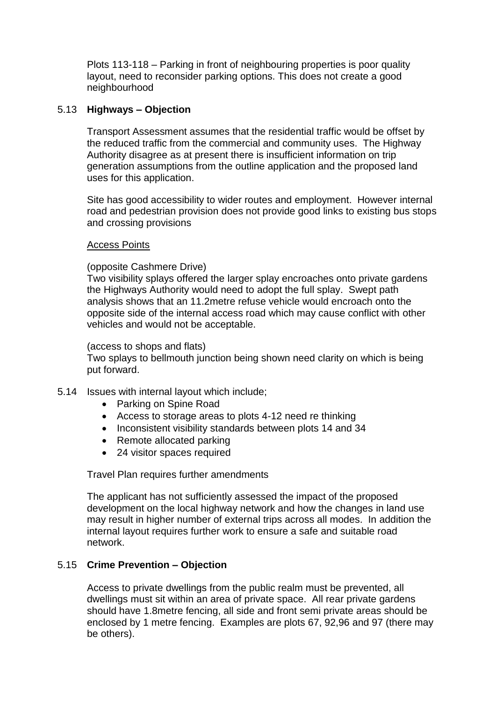Plots 113-118 – Parking in front of neighbouring properties is poor quality layout, need to reconsider parking options. This does not create a good neighbourhood

# 5.13 **Highways – Objection**

Transport Assessment assumes that the residential traffic would be offset by the reduced traffic from the commercial and community uses. The Highway Authority disagree as at present there is insufficient information on trip generation assumptions from the outline application and the proposed land uses for this application.

Site has good accessibility to wider routes and employment. However internal road and pedestrian provision does not provide good links to existing bus stops and crossing provisions

# Access Points

(opposite Cashmere Drive)

Two visibility splays offered the larger splay encroaches onto private gardens the Highways Authority would need to adopt the full splay. Swept path analysis shows that an 11.2metre refuse vehicle would encroach onto the opposite side of the internal access road which may cause conflict with other vehicles and would not be acceptable.

#### (access to shops and flats)

Two splays to bellmouth junction being shown need clarity on which is being put forward.

# 5.14 Issues with internal layout which include;

- Parking on Spine Road
- Access to storage areas to plots 4-12 need re thinking
- Inconsistent visibility standards between plots 14 and 34
- Remote allocated parking
- 24 visitor spaces required

Travel Plan requires further amendments

The applicant has not sufficiently assessed the impact of the proposed development on the local highway network and how the changes in land use may result in higher number of external trips across all modes. In addition the internal layout requires further work to ensure a safe and suitable road network.

# 5.15 **Crime Prevention – Objection**

Access to private dwellings from the public realm must be prevented, all dwellings must sit within an area of private space. All rear private gardens should have 1.8metre fencing, all side and front semi private areas should be enclosed by 1 metre fencing. Examples are plots 67, 92,96 and 97 (there may be others).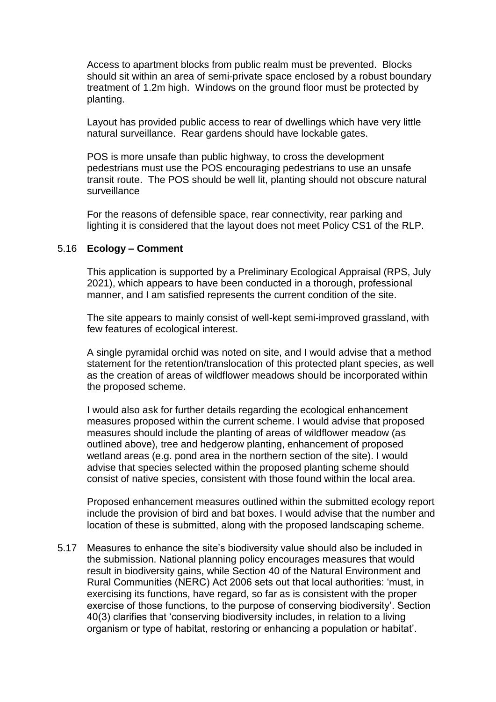Access to apartment blocks from public realm must be prevented. Blocks should sit within an area of semi-private space enclosed by a robust boundary treatment of 1.2m high. Windows on the ground floor must be protected by planting.

Layout has provided public access to rear of dwellings which have very little natural surveillance. Rear gardens should have lockable gates.

POS is more unsafe than public highway, to cross the development pedestrians must use the POS encouraging pedestrians to use an unsafe transit route. The POS should be well lit, planting should not obscure natural surveillance

For the reasons of defensible space, rear connectivity, rear parking and lighting it is considered that the layout does not meet Policy CS1 of the RLP.

#### 5.16 **Ecology – Comment**

This application is supported by a Preliminary Ecological Appraisal (RPS, July 2021), which appears to have been conducted in a thorough, professional manner, and I am satisfied represents the current condition of the site.

The site appears to mainly consist of well-kept semi-improved grassland, with few features of ecological interest.

A single pyramidal orchid was noted on site, and I would advise that a method statement for the retention/translocation of this protected plant species, as well as the creation of areas of wildflower meadows should be incorporated within the proposed scheme.

I would also ask for further details regarding the ecological enhancement measures proposed within the current scheme. I would advise that proposed measures should include the planting of areas of wildflower meadow (as outlined above), tree and hedgerow planting, enhancement of proposed wetland areas (e.g. pond area in the northern section of the site). I would advise that species selected within the proposed planting scheme should consist of native species, consistent with those found within the local area.

Proposed enhancement measures outlined within the submitted ecology report include the provision of bird and bat boxes. I would advise that the number and location of these is submitted, along with the proposed landscaping scheme.

5.17 Measures to enhance the site's biodiversity value should also be included in the submission. National planning policy encourages measures that would result in biodiversity gains, while Section 40 of the Natural Environment and Rural Communities (NERC) Act 2006 sets out that local authorities: 'must, in exercising its functions, have regard, so far as is consistent with the proper exercise of those functions, to the purpose of conserving biodiversity'. Section 40(3) clarifies that 'conserving biodiversity includes, in relation to a living organism or type of habitat, restoring or enhancing a population or habitat'.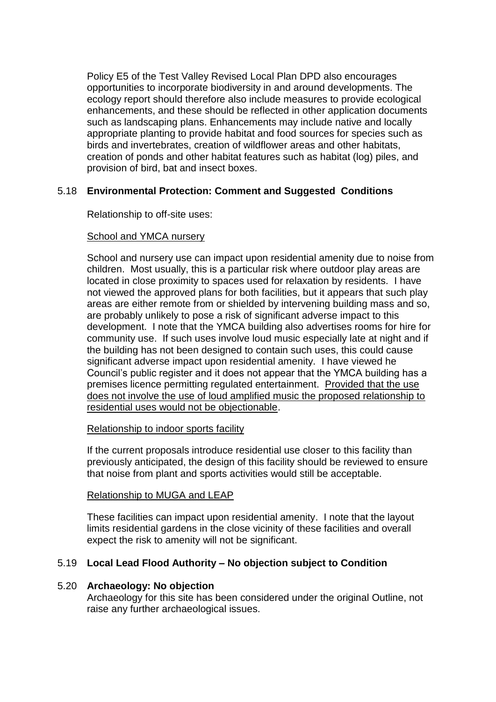Policy E5 of the Test Valley Revised Local Plan DPD also encourages opportunities to incorporate biodiversity in and around developments. The ecology report should therefore also include measures to provide ecological enhancements, and these should be reflected in other application documents such as landscaping plans. Enhancements may include native and locally appropriate planting to provide habitat and food sources for species such as birds and invertebrates, creation of wildflower areas and other habitats, creation of ponds and other habitat features such as habitat (log) piles, and provision of bird, bat and insect boxes.

# 5.18 **Environmental Protection: Comment and Suggested Conditions**

Relationship to off-site uses:

# School and YMCA nursery

School and nursery use can impact upon residential amenity due to noise from children. Most usually, this is a particular risk where outdoor play areas are located in close proximity to spaces used for relaxation by residents. I have not viewed the approved plans for both facilities, but it appears that such play areas are either remote from or shielded by intervening building mass and so, are probably unlikely to pose a risk of significant adverse impact to this development. I note that the YMCA building also advertises rooms for hire for community use. If such uses involve loud music especially late at night and if the building has not been designed to contain such uses, this could cause significant adverse impact upon residential amenity. I have viewed he Council's public register and it does not appear that the YMCA building has a premises licence permitting regulated entertainment. Provided that the use does not involve the use of loud amplified music the proposed relationship to residential uses would not be objectionable.

# Relationship to indoor sports facility

If the current proposals introduce residential use closer to this facility than previously anticipated, the design of this facility should be reviewed to ensure that noise from plant and sports activities would still be acceptable.

# Relationship to MUGA and LEAP

These facilities can impact upon residential amenity. I note that the layout limits residential gardens in the close vicinity of these facilities and overall expect the risk to amenity will not be significant.

# 5.19 **Local Lead Flood Authority – No objection subject to Condition**

# 5.20 **Archaeology: No objection**

Archaeology for this site has been considered under the original Outline, not raise any further archaeological issues.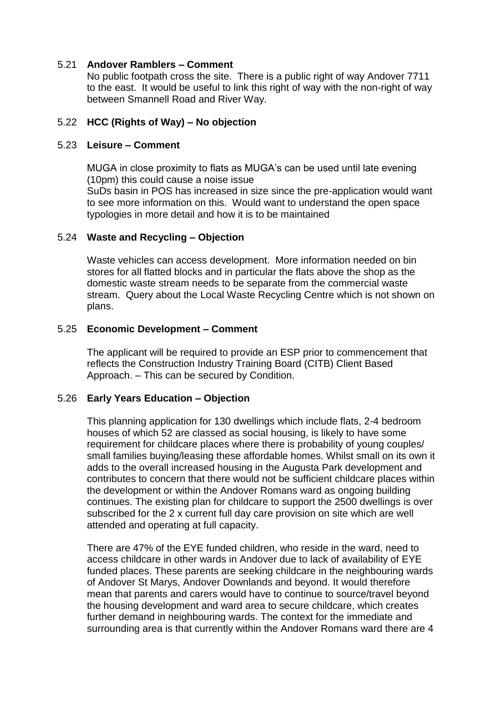# 5.21 **Andover Ramblers – Comment**

No public footpath cross the site. There is a public right of way Andover 7711 to the east. It would be useful to link this right of way with the non-right of way between Smannell Road and River Way.

### 5.22 **HCC (Rights of Way) – No objection**

#### 5.23 **Leisure – Comment**

MUGA in close proximity to flats as MUGA's can be used until late evening (10pm) this could cause a noise issue SuDs basin in POS has increased in size since the pre-application would want to see more information on this. Would want to understand the open space typologies in more detail and how it is to be maintained

#### 5.24 **Waste and Recycling – Objection**

Waste vehicles can access development. More information needed on bin stores for all flatted blocks and in particular the flats above the shop as the domestic waste stream needs to be separate from the commercial waste stream. Query about the Local Waste Recycling Centre which is not shown on plans.

#### 5.25 **Economic Development – Comment**

The applicant will be required to provide an ESP prior to commencement that reflects the Construction Industry Training Board (CITB) Client Based Approach. – This can be secured by Condition.

# 5.26 **Early Years Education – Objection**

This planning application for 130 dwellings which include flats, 2-4 bedroom houses of which 52 are classed as social housing, is likely to have some requirement for childcare places where there is probability of young couples/ small families buying/leasing these affordable homes. Whilst small on its own it adds to the overall increased housing in the Augusta Park development and contributes to concern that there would not be sufficient childcare places within the development or within the Andover Romans ward as ongoing building continues. The existing plan for childcare to support the 2500 dwellings is over subscribed for the 2 x current full day care provision on site which are well attended and operating at full capacity.

There are 47% of the EYE funded children, who reside in the ward, need to access childcare in other wards in Andover due to lack of availability of EYE funded places. These parents are seeking childcare in the neighbouring wards of Andover St Marys, Andover Downlands and beyond. It would therefore mean that parents and carers would have to continue to source/travel beyond the housing development and ward area to secure childcare, which creates further demand in neighbouring wards. The context for the immediate and surrounding area is that currently within the Andover Romans ward there are 4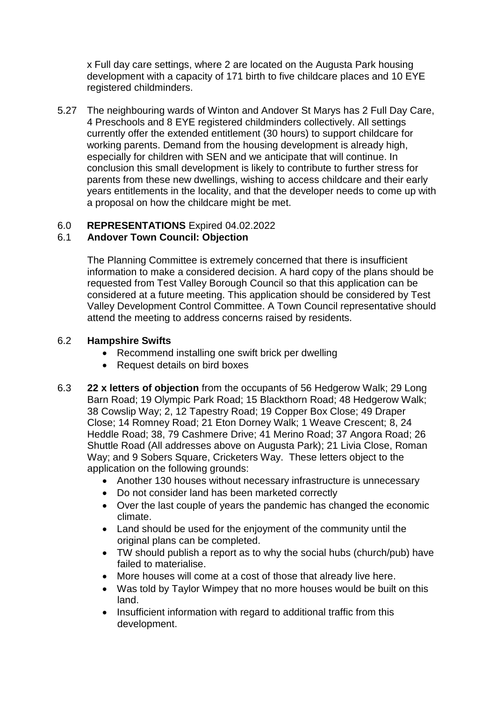x Full day care settings, where 2 are located on the Augusta Park housing development with a capacity of 171 birth to five childcare places and 10 EYE registered childminders.

5.27 The neighbouring wards of Winton and Andover St Marys has 2 Full Day Care, 4 Preschools and 8 EYE registered childminders collectively. All settings currently offer the extended entitlement (30 hours) to support childcare for working parents. Demand from the housing development is already high, especially for children with SEN and we anticipate that will continue. In conclusion this small development is likely to contribute to further stress for parents from these new dwellings, wishing to access childcare and their early years entitlements in the locality, and that the developer needs to come up with a proposal on how the childcare might be met.

# 6.0 **REPRESENTATIONS** Expired 04.02.2022

# 6.1 **Andover Town Council: Objection**

The Planning Committee is extremely concerned that there is insufficient information to make a considered decision. A hard copy of the plans should be requested from Test Valley Borough Council so that this application can be considered at a future meeting. This application should be considered by Test Valley Development Control Committee. A Town Council representative should attend the meeting to address concerns raised by residents.

# 6.2 **Hampshire Swifts**

- Recommend installing one swift brick per dwelling
- Request details on bird boxes
- 6.3 **22 x letters of objection** from the occupants of 56 Hedgerow Walk; 29 Long Barn Road; 19 Olympic Park Road; 15 Blackthorn Road; 48 Hedgerow Walk; 38 Cowslip Way; 2, 12 Tapestry Road; 19 Copper Box Close; 49 Draper Close; 14 Romney Road; 21 Eton Dorney Walk; 1 Weave Crescent; 8, 24 Heddle Road; 38, 79 Cashmere Drive; 41 Merino Road; 37 Angora Road; 26 Shuttle Road (All addresses above on Augusta Park); 21 Livia Close, Roman Way; and 9 Sobers Square, Cricketers Way. These letters object to the application on the following grounds:
	- Another 130 houses without necessary infrastructure is unnecessary
	- Do not consider land has been marketed correctly
	- Over the last couple of years the pandemic has changed the economic climate.
	- Land should be used for the enjoyment of the community until the original plans can be completed.
	- TW should publish a report as to why the social hubs (church/pub) have failed to materialise.
	- More houses will come at a cost of those that already live here.
	- Was told by Taylor Wimpey that no more houses would be built on this land.
	- Insufficient information with regard to additional traffic from this development.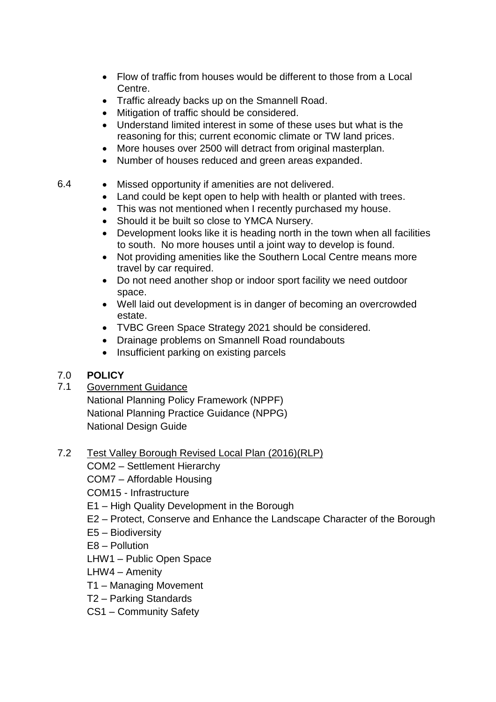- Flow of traffic from houses would be different to those from a Local Centre.
- Traffic already backs up on the Smannell Road.
- Mitigation of traffic should be considered.
- Understand limited interest in some of these uses but what is the reasoning for this; current economic climate or TW land prices.
- More houses over 2500 will detract from original masterplan.
- Number of houses reduced and green areas expanded.

# 6.4 Missed opportunity if amenities are not delivered.

- Land could be kept open to help with health or planted with trees.
- This was not mentioned when I recently purchased my house.
- Should it be built so close to YMCA Nursery.
- Development looks like it is heading north in the town when all facilities to south. No more houses until a joint way to develop is found.
- Not providing amenities like the Southern Local Centre means more travel by car required.
- Do not need another shop or indoor sport facility we need outdoor space.
- Well laid out development is in danger of becoming an overcrowded estate.
- TVBC Green Space Strategy 2021 should be considered.
- Drainage problems on Smannell Road roundabouts
- Insufficient parking on existing parcels

# 7.0 **POLICY**

# 7.1 Government Guidance

National Planning Policy Framework (NPPF) National Planning Practice Guidance (NPPG) National Design Guide

7.2 Test Valley Borough Revised Local Plan (2016)(RLP)

COM2 – Settlement Hierarchy

COM7 – Affordable Housing

COM15 - Infrastructure

- E1 High Quality Development in the Borough
- E2 Protect, Conserve and Enhance the Landscape Character of the Borough
- E5 Biodiversity

E8 – Pollution

LHW1 – Public Open Space

LHW4 – Amenity

- T1 Managing Movement
- T2 Parking Standards
- CS1 Community Safety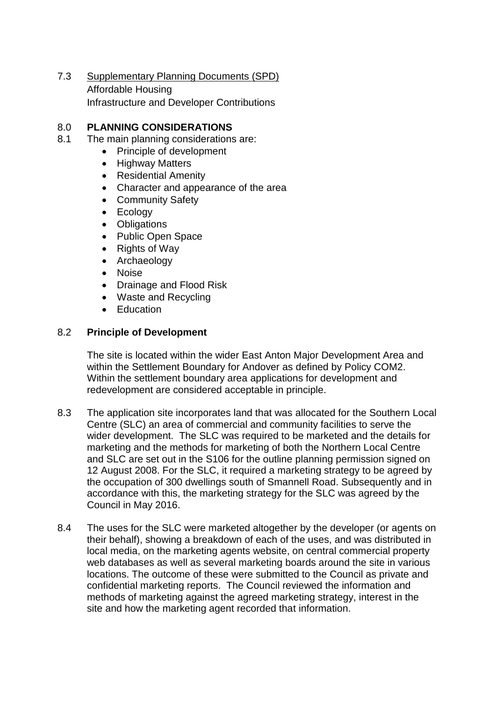7.3 Supplementary Planning Documents (SPD) Affordable Housing Infrastructure and Developer Contributions

# 8.0 **PLANNING CONSIDERATIONS**

- 8.1 The main planning considerations are:
	- Principle of development
	- Highway Matters
	- Residential Amenity
	- Character and appearance of the area
	- Community Safety
	- Ecology
	- Obligations
	- Public Open Space
	- Rights of Way
	- Archaeology
	- Noise
	- Drainage and Flood Risk
	- Waste and Recycling
	- Education

#### 8.2 **Principle of Development**

The site is located within the wider East Anton Major Development Area and within the Settlement Boundary for Andover as defined by Policy COM2. Within the settlement boundary area applications for development and redevelopment are considered acceptable in principle.

- 8.3 The application site incorporates land that was allocated for the Southern Local Centre (SLC) an area of commercial and community facilities to serve the wider development. The SLC was required to be marketed and the details for marketing and the methods for marketing of both the Northern Local Centre and SLC are set out in the S106 for the outline planning permission signed on 12 August 2008. For the SLC, it required a marketing strategy to be agreed by the occupation of 300 dwellings south of Smannell Road. Subsequently and in accordance with this, the marketing strategy for the SLC was agreed by the Council in May 2016.
- 8.4 The uses for the SLC were marketed altogether by the developer (or agents on their behalf), showing a breakdown of each of the uses, and was distributed in local media, on the marketing agents website, on central commercial property web databases as well as several marketing boards around the site in various locations. The outcome of these were submitted to the Council as private and confidential marketing reports. The Council reviewed the information and methods of marketing against the agreed marketing strategy, interest in the site and how the marketing agent recorded that information.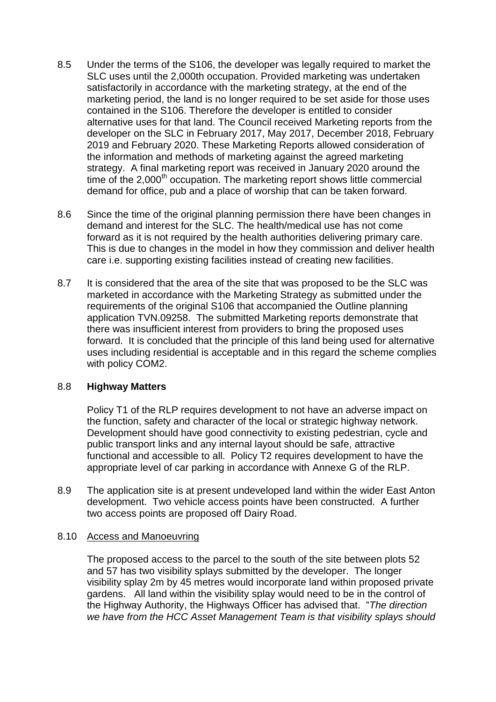- 8.5 Under the terms of the S106, the developer was legally required to market the SLC uses until the 2,000th occupation. Provided marketing was undertaken satisfactorily in accordance with the marketing strategy, at the end of the marketing period, the land is no longer required to be set aside for those uses contained in the S106. Therefore the developer is entitled to consider alternative uses for that land. The Council received Marketing reports from the developer on the SLC in February 2017, May 2017, December 2018, February 2019 and February 2020. These Marketing Reports allowed consideration of the information and methods of marketing against the agreed marketing strategy. A final marketing report was received in January 2020 around the time of the  $2,000<sup>th</sup>$  occupation. The marketing report shows little commercial demand for office, pub and a place of worship that can be taken forward.
- 8.6 Since the time of the original planning permission there have been changes in demand and interest for the SLC. The health/medical use has not come forward as it is not required by the health authorities delivering primary care. This is due to changes in the model in how they commission and deliver health care i.e. supporting existing facilities instead of creating new facilities.
- 8.7 It is considered that the area of the site that was proposed to be the SLC was marketed in accordance with the Marketing Strategy as submitted under the requirements of the original S106 that accompanied the Outline planning application TVN.09258. The submitted Marketing reports demonstrate that there was insufficient interest from providers to bring the proposed uses forward. It is concluded that the principle of this land being used for alternative uses including residential is acceptable and in this regard the scheme complies with policy COM2.

# 8.8 **Highway Matters**

Policy T1 of the RLP requires development to not have an adverse impact on the function, safety and character of the local or strategic highway network. Development should have good connectivity to existing pedestrian, cycle and public transport links and any internal layout should be safe, attractive functional and accessible to all. Policy T2 requires development to have the appropriate level of car parking in accordance with Annexe G of the RLP.

8.9 The application site is at present undeveloped land within the wider East Anton development. Two vehicle access points have been constructed. A further two access points are proposed off Dairy Road.

# 8.10 Access and Manoeuvring

The proposed access to the parcel to the south of the site between plots 52 and 57 has two visibility splays submitted by the developer. The longer visibility splay 2m by 45 metres would incorporate land within proposed private gardens. All land within the visibility splay would need to be in the control of the Highway Authority, the Highways Officer has advised that. "*The direction we have from the HCC Asset Management Team is that visibility splays should*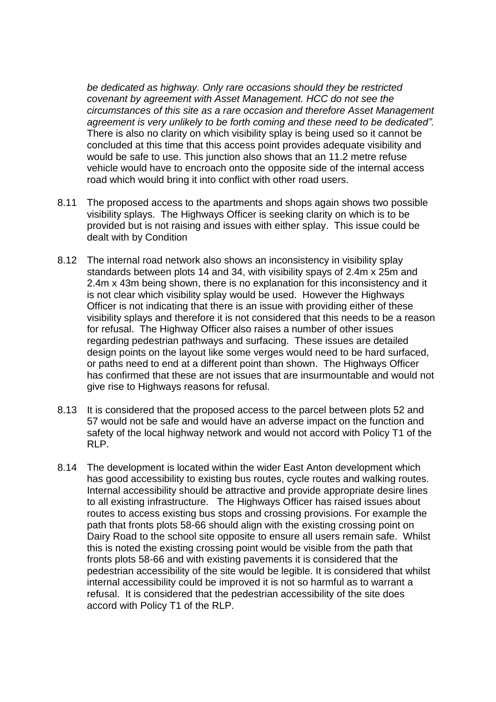*be dedicated as highway. Only rare occasions should they be restricted covenant by agreement with Asset Management. HCC do not see the circumstances of this site as a rare occasion and therefore Asset Management agreement is very unlikely to be forth coming and these need to be dedicated".* There is also no clarity on which visibility splay is being used so it cannot be concluded at this time that this access point provides adequate visibility and would be safe to use. This junction also shows that an 11.2 metre refuse vehicle would have to encroach onto the opposite side of the internal access road which would bring it into conflict with other road users.

- 8.11 The proposed access to the apartments and shops again shows two possible visibility splays. The Highways Officer is seeking clarity on which is to be provided but is not raising and issues with either splay. This issue could be dealt with by Condition
- 8.12 The internal road network also shows an inconsistency in visibility splay standards between plots 14 and 34, with visibility spays of 2.4m x 25m and 2.4m x 43m being shown, there is no explanation for this inconsistency and it is not clear which visibility splay would be used. However the Highways Officer is not indicating that there is an issue with providing either of these visibility splays and therefore it is not considered that this needs to be a reason for refusal. The Highway Officer also raises a number of other issues regarding pedestrian pathways and surfacing. These issues are detailed design points on the layout like some verges would need to be hard surfaced, or paths need to end at a different point than shown. The Highways Officer has confirmed that these are not issues that are insurmountable and would not give rise to Highways reasons for refusal.
- 8.13 It is considered that the proposed access to the parcel between plots 52 and 57 would not be safe and would have an adverse impact on the function and safety of the local highway network and would not accord with Policy T1 of the RLP.
- 8.14 The development is located within the wider East Anton development which has good accessibility to existing bus routes, cycle routes and walking routes. Internal accessibility should be attractive and provide appropriate desire lines to all existing infrastructure. The Highways Officer has raised issues about routes to access existing bus stops and crossing provisions. For example the path that fronts plots 58-66 should align with the existing crossing point on Dairy Road to the school site opposite to ensure all users remain safe. Whilst this is noted the existing crossing point would be visible from the path that fronts plots 58-66 and with existing pavements it is considered that the pedestrian accessibility of the site would be legible. It is considered that whilst internal accessibility could be improved it is not so harmful as to warrant a refusal. It is considered that the pedestrian accessibility of the site does accord with Policy T1 of the RLP.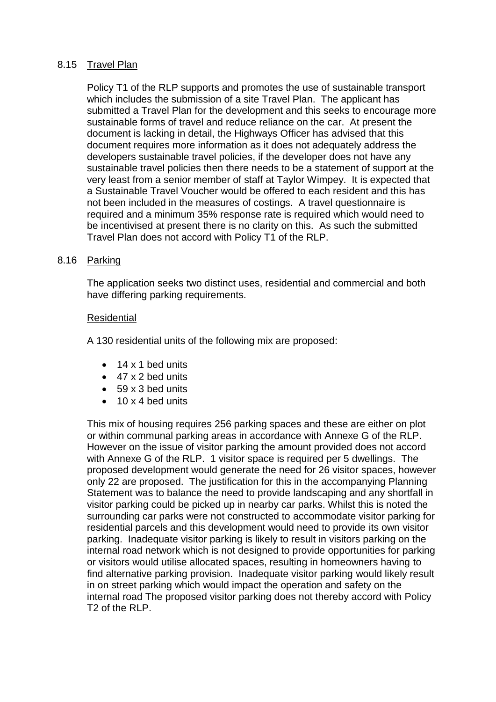# 8.15 Travel Plan

Policy T1 of the RLP supports and promotes the use of sustainable transport which includes the submission of a site Travel Plan. The applicant has submitted a Travel Plan for the development and this seeks to encourage more sustainable forms of travel and reduce reliance on the car. At present the document is lacking in detail, the Highways Officer has advised that this document requires more information as it does not adequately address the developers sustainable travel policies, if the developer does not have any sustainable travel policies then there needs to be a statement of support at the very least from a senior member of staff at Taylor Wimpey. It is expected that a Sustainable Travel Voucher would be offered to each resident and this has not been included in the measures of costings. A travel questionnaire is required and a minimum 35% response rate is required which would need to be incentivised at present there is no clarity on this. As such the submitted Travel Plan does not accord with Policy T1 of the RLP.

#### 8.16 Parking

The application seeks two distinct uses, residential and commercial and both have differing parking requirements.

#### Residential

A 130 residential units of the following mix are proposed:

- $\bullet$  14 x 1 bed units
- 47 x 2 bed units
- 59 x 3 bed units
- $\bullet$  10 x 4 bed units

This mix of housing requires 256 parking spaces and these are either on plot or within communal parking areas in accordance with Annexe G of the RLP. However on the issue of visitor parking the amount provided does not accord with Annexe G of the RLP. 1 visitor space is required per 5 dwellings. The proposed development would generate the need for 26 visitor spaces, however only 22 are proposed. The justification for this in the accompanying Planning Statement was to balance the need to provide landscaping and any shortfall in visitor parking could be picked up in nearby car parks. Whilst this is noted the surrounding car parks were not constructed to accommodate visitor parking for residential parcels and this development would need to provide its own visitor parking. Inadequate visitor parking is likely to result in visitors parking on the internal road network which is not designed to provide opportunities for parking or visitors would utilise allocated spaces, resulting in homeowners having to find alternative parking provision. Inadequate visitor parking would likely result in on street parking which would impact the operation and safety on the internal road The proposed visitor parking does not thereby accord with Policy T<sub>2</sub> of the RLP.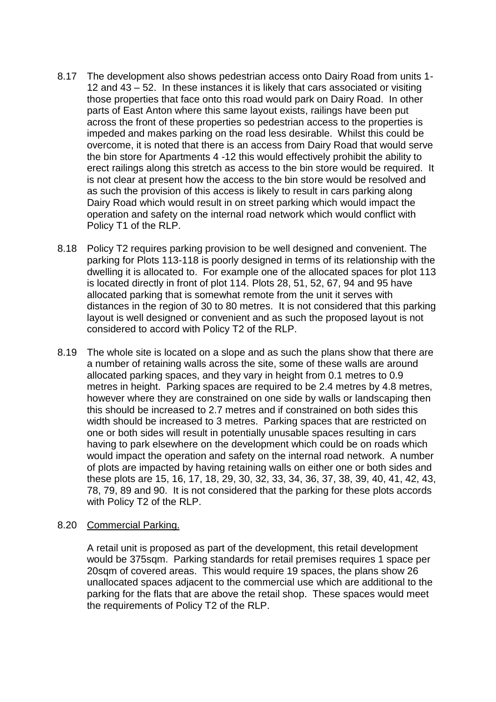- 8.17 The development also shows pedestrian access onto Dairy Road from units 1- 12 and 43 – 52. In these instances it is likely that cars associated or visiting those properties that face onto this road would park on Dairy Road. In other parts of East Anton where this same layout exists, railings have been put across the front of these properties so pedestrian access to the properties is impeded and makes parking on the road less desirable. Whilst this could be overcome, it is noted that there is an access from Dairy Road that would serve the bin store for Apartments 4 -12 this would effectively prohibit the ability to erect railings along this stretch as access to the bin store would be required. It is not clear at present how the access to the bin store would be resolved and as such the provision of this access is likely to result in cars parking along Dairy Road which would result in on street parking which would impact the operation and safety on the internal road network which would conflict with Policy T1 of the RLP.
- 8.18 Policy T2 requires parking provision to be well designed and convenient. The parking for Plots 113-118 is poorly designed in terms of its relationship with the dwelling it is allocated to. For example one of the allocated spaces for plot 113 is located directly in front of plot 114. Plots 28, 51, 52, 67, 94 and 95 have allocated parking that is somewhat remote from the unit it serves with distances in the region of 30 to 80 metres. It is not considered that this parking layout is well designed or convenient and as such the proposed layout is not considered to accord with Policy T2 of the RLP.
- 8.19 The whole site is located on a slope and as such the plans show that there are a number of retaining walls across the site, some of these walls are around allocated parking spaces, and they vary in height from 0.1 metres to 0.9 metres in height. Parking spaces are required to be 2.4 metres by 4.8 metres, however where they are constrained on one side by walls or landscaping then this should be increased to 2.7 metres and if constrained on both sides this width should be increased to 3 metres. Parking spaces that are restricted on one or both sides will result in potentially unusable spaces resulting in cars having to park elsewhere on the development which could be on roads which would impact the operation and safety on the internal road network. A number of plots are impacted by having retaining walls on either one or both sides and these plots are 15, 16, 17, 18, 29, 30, 32, 33, 34, 36, 37, 38, 39, 40, 41, 42, 43, 78, 79, 89 and 90. It is not considered that the parking for these plots accords with Policy T2 of the RLP.

#### 8.20 Commercial Parking.

A retail unit is proposed as part of the development, this retail development would be 375sqm. Parking standards for retail premises requires 1 space per 20sqm of covered areas. This would require 19 spaces, the plans show 26 unallocated spaces adjacent to the commercial use which are additional to the parking for the flats that are above the retail shop. These spaces would meet the requirements of Policy T2 of the RLP.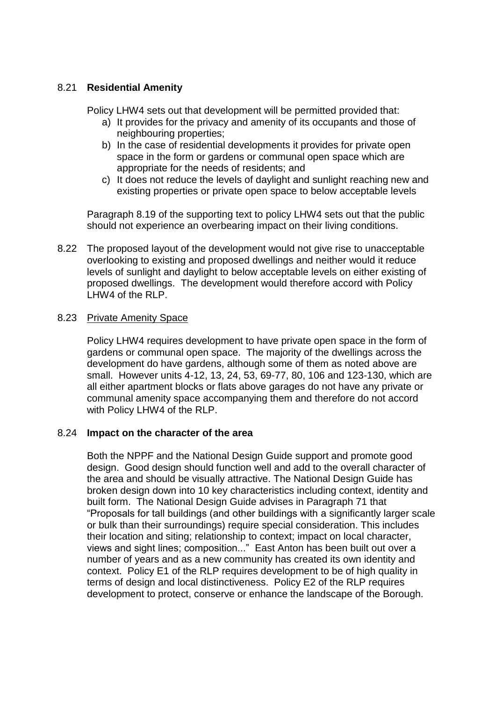# 8.21 **Residential Amenity**

Policy LHW4 sets out that development will be permitted provided that:

- a) It provides for the privacy and amenity of its occupants and those of neighbouring properties;
- b) In the case of residential developments it provides for private open space in the form or gardens or communal open space which are appropriate for the needs of residents; and
- c) It does not reduce the levels of daylight and sunlight reaching new and existing properties or private open space to below acceptable levels

Paragraph 8.19 of the supporting text to policy LHW4 sets out that the public should not experience an overbearing impact on their living conditions.

8.22 The proposed layout of the development would not give rise to unacceptable overlooking to existing and proposed dwellings and neither would it reduce levels of sunlight and daylight to below acceptable levels on either existing of proposed dwellings. The development would therefore accord with Policy LHW4 of the RLP.

# 8.23 Private Amenity Space

Policy LHW4 requires development to have private open space in the form of gardens or communal open space. The majority of the dwellings across the development do have gardens, although some of them as noted above are small. However units 4-12, 13, 24, 53, 69-77, 80, 106 and 123-130, which are all either apartment blocks or flats above garages do not have any private or communal amenity space accompanying them and therefore do not accord with Policy LHW4 of the RLP.

# 8.24 **Impact on the character of the area**

Both the NPPF and the National Design Guide support and promote good design. Good design should function well and add to the overall character of the area and should be visually attractive. The National Design Guide has broken design down into 10 key characteristics including context, identity and built form. The National Design Guide advises in Paragraph 71 that "Proposals for tall buildings (and other buildings with a significantly larger scale or bulk than their surroundings) require special consideration. This includes their location and siting; relationship to context; impact on local character, views and sight lines; composition..." East Anton has been built out over a number of years and as a new community has created its own identity and context. Policy E1 of the RLP requires development to be of high quality in terms of design and local distinctiveness. Policy E2 of the RLP requires development to protect, conserve or enhance the landscape of the Borough.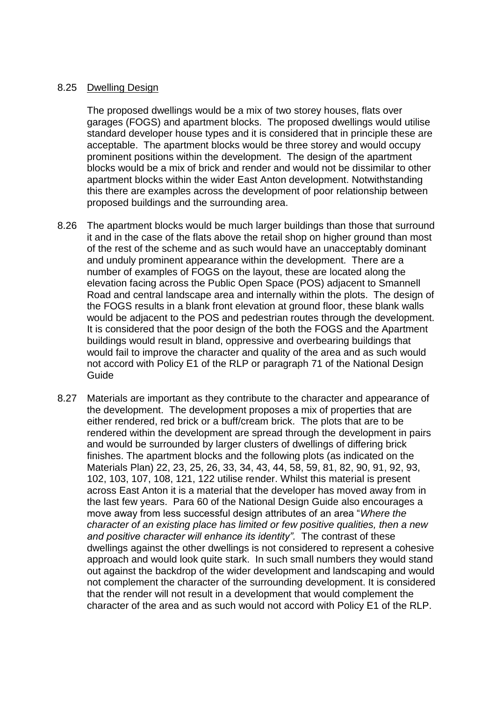#### 8.25 Dwelling Design

The proposed dwellings would be a mix of two storey houses, flats over garages (FOGS) and apartment blocks. The proposed dwellings would utilise standard developer house types and it is considered that in principle these are acceptable. The apartment blocks would be three storey and would occupy prominent positions within the development. The design of the apartment blocks would be a mix of brick and render and would not be dissimilar to other apartment blocks within the wider East Anton development. Notwithstanding this there are examples across the development of poor relationship between proposed buildings and the surrounding area.

- 8.26 The apartment blocks would be much larger buildings than those that surround it and in the case of the flats above the retail shop on higher ground than most of the rest of the scheme and as such would have an unacceptably dominant and unduly prominent appearance within the development. There are a number of examples of FOGS on the layout, these are located along the elevation facing across the Public Open Space (POS) adjacent to Smannell Road and central landscape area and internally within the plots. The design of the FOGS results in a blank front elevation at ground floor, these blank walls would be adjacent to the POS and pedestrian routes through the development. It is considered that the poor design of the both the FOGS and the Apartment buildings would result in bland, oppressive and overbearing buildings that would fail to improve the character and quality of the area and as such would not accord with Policy E1 of the RLP or paragraph 71 of the National Design Guide
- 8.27 Materials are important as they contribute to the character and appearance of the development. The development proposes a mix of properties that are either rendered, red brick or a buff/cream brick. The plots that are to be rendered within the development are spread through the development in pairs and would be surrounded by larger clusters of dwellings of differing brick finishes. The apartment blocks and the following plots (as indicated on the Materials Plan) 22, 23, 25, 26, 33, 34, 43, 44, 58, 59, 81, 82, 90, 91, 92, 93, 102, 103, 107, 108, 121, 122 utilise render. Whilst this material is present across East Anton it is a material that the developer has moved away from in the last few years. Para 60 of the National Design Guide also encourages a move away from less successful design attributes of an area "*Where the character of an existing place has limited or few positive qualities, then a new and positive character will enhance its identity".* The contrast of these dwellings against the other dwellings is not considered to represent a cohesive approach and would look quite stark. In such small numbers they would stand out against the backdrop of the wider development and landscaping and would not complement the character of the surrounding development. It is considered that the render will not result in a development that would complement the character of the area and as such would not accord with Policy E1 of the RLP.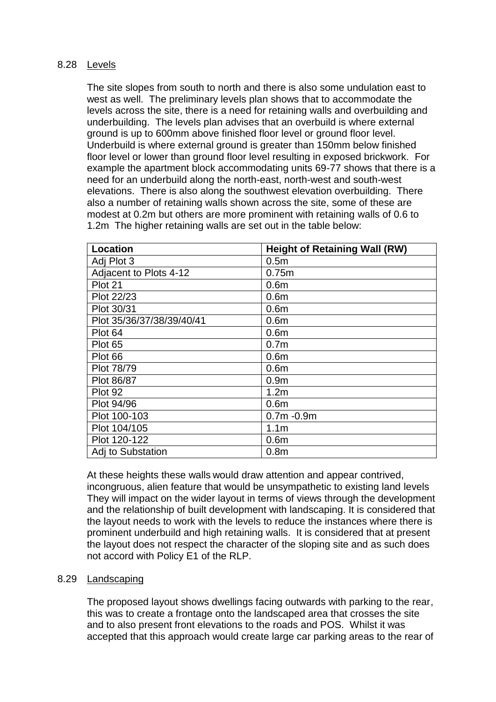# 8.28 Levels

The site slopes from south to north and there is also some undulation east to west as well. The preliminary levels plan shows that to accommodate the levels across the site, there is a need for retaining walls and overbuilding and underbuilding. The levels plan advises that an overbuild is where external ground is up to 600mm above finished floor level or ground floor level. Underbuild is where external ground is greater than 150mm below finished floor level or lower than ground floor level resulting in exposed brickwork. For example the apartment block accommodating units 69-77 shows that there is a need for an underbuild along the north-east, north-west and south-west elevations. There is also along the southwest elevation overbuilding. There also a number of retaining walls shown across the site, some of these are modest at 0.2m but others are more prominent with retaining walls of 0.6 to 1.2m The higher retaining walls are set out in the table below:

| <b>Location</b>           | <b>Height of Retaining Wall (RW)</b> |
|---------------------------|--------------------------------------|
| Adj Plot 3                | 0.5 <sub>m</sub>                     |
| Adjacent to Plots 4-12    | 0.75m                                |
| Plot 21                   | 0.6 <sub>m</sub>                     |
| Plot 22/23                | 0.6 <sub>m</sub>                     |
| Plot 30/31                | 0.6 <sub>m</sub>                     |
| Plot 35/36/37/38/39/40/41 | 0.6 <sub>m</sub>                     |
| Plot 64                   | 0.6 <sub>m</sub>                     |
| Plot 65                   | 0.7 <sub>m</sub>                     |
| Plot 66                   | 0.6 <sub>m</sub>                     |
| Plot 78/79                | 0.6 <sub>m</sub>                     |
| Plot 86/87                | 0.9 <sub>m</sub>                     |
| Plot 92                   | 1.2 <sub>m</sub>                     |
| Plot 94/96                | 0.6 <sub>m</sub>                     |
| Plot 100-103              | $0.7m - 0.9m$                        |
| Plot 104/105              | 1.1 <sub>m</sub>                     |
| Plot 120-122              | 0.6 <sub>m</sub>                     |
| Adj to Substation         | 0.8 <sub>m</sub>                     |

At these heights these walls would draw attention and appear contrived, incongruous, alien feature that would be unsympathetic to existing land levels They will impact on the wider layout in terms of views through the development and the relationship of built development with landscaping. It is considered that the layout needs to work with the levels to reduce the instances where there is prominent underbuild and high retaining walls. It is considered that at present the layout does not respect the character of the sloping site and as such does not accord with Policy E1 of the RLP.

#### 8.29 Landscaping

The proposed layout shows dwellings facing outwards with parking to the rear, this was to create a frontage onto the landscaped area that crosses the site and to also present front elevations to the roads and POS. Whilst it was accepted that this approach would create large car parking areas to the rear of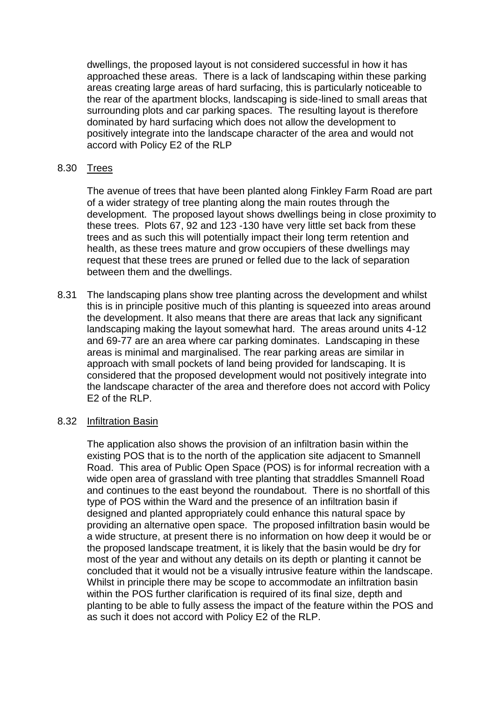dwellings, the proposed layout is not considered successful in how it has approached these areas. There is a lack of landscaping within these parking areas creating large areas of hard surfacing, this is particularly noticeable to the rear of the apartment blocks, landscaping is side-lined to small areas that surrounding plots and car parking spaces. The resulting layout is therefore dominated by hard surfacing which does not allow the development to positively integrate into the landscape character of the area and would not accord with Policy E2 of the RLP

### 8.30 Trees

The avenue of trees that have been planted along Finkley Farm Road are part of a wider strategy of tree planting along the main routes through the development. The proposed layout shows dwellings being in close proximity to these trees. Plots 67, 92 and 123 -130 have very little set back from these trees and as such this will potentially impact their long term retention and health, as these trees mature and grow occupiers of these dwellings may request that these trees are pruned or felled due to the lack of separation between them and the dwellings.

8.31 The landscaping plans show tree planting across the development and whilst this is in principle positive much of this planting is squeezed into areas around the development. It also means that there are areas that lack any significant landscaping making the layout somewhat hard. The areas around units 4-12 and 69-77 are an area where car parking dominates. Landscaping in these areas is minimal and marginalised. The rear parking areas are similar in approach with small pockets of land being provided for landscaping. It is considered that the proposed development would not positively integrate into the landscape character of the area and therefore does not accord with Policy E2 of the RLP.

#### 8.32 Infiltration Basin

The application also shows the provision of an infiltration basin within the existing POS that is to the north of the application site adjacent to Smannell Road. This area of Public Open Space (POS) is for informal recreation with a wide open area of grassland with tree planting that straddles Smannell Road and continues to the east beyond the roundabout. There is no shortfall of this type of POS within the Ward and the presence of an infiltration basin if designed and planted appropriately could enhance this natural space by providing an alternative open space. The proposed infiltration basin would be a wide structure, at present there is no information on how deep it would be or the proposed landscape treatment, it is likely that the basin would be dry for most of the year and without any details on its depth or planting it cannot be concluded that it would not be a visually intrusive feature within the landscape. Whilst in principle there may be scope to accommodate an infiltration basin within the POS further clarification is required of its final size, depth and planting to be able to fully assess the impact of the feature within the POS and as such it does not accord with Policy E2 of the RLP.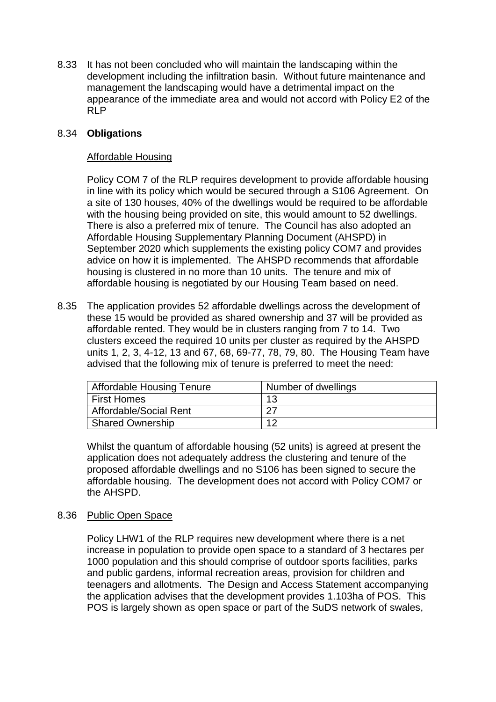8.33 It has not been concluded who will maintain the landscaping within the development including the infiltration basin. Without future maintenance and management the landscaping would have a detrimental impact on the appearance of the immediate area and would not accord with Policy E2 of the RLP

# 8.34 **Obligations**

# Affordable Housing

Policy COM 7 of the RLP requires development to provide affordable housing in line with its policy which would be secured through a S106 Agreement. On a site of 130 houses, 40% of the dwellings would be required to be affordable with the housing being provided on site, this would amount to 52 dwellings. There is also a preferred mix of tenure. The Council has also adopted an Affordable Housing Supplementary Planning Document (AHSPD) in September 2020 which supplements the existing policy COM7 and provides advice on how it is implemented. The AHSPD recommends that affordable housing is clustered in no more than 10 units. The tenure and mix of affordable housing is negotiated by our Housing Team based on need.

8.35 The application provides 52 affordable dwellings across the development of these 15 would be provided as shared ownership and 37 will be provided as affordable rented. They would be in clusters ranging from 7 to 14. Two clusters exceed the required 10 units per cluster as required by the AHSPD units 1, 2, 3, 4-12, 13 and 67, 68, 69-77, 78, 79, 80. The Housing Team have advised that the following mix of tenure is preferred to meet the need:

| <b>Affordable Housing Tenure</b> | Number of dwellings |  |
|----------------------------------|---------------------|--|
| <b>First Homes</b>               | 13                  |  |
| Affordable/Social Rent           | רר                  |  |
| <b>Shared Ownership</b>          | 1つ                  |  |

Whilst the quantum of affordable housing (52 units) is agreed at present the application does not adequately address the clustering and tenure of the proposed affordable dwellings and no S106 has been signed to secure the affordable housing. The development does not accord with Policy COM7 or the AHSPD.

# 8.36 Public Open Space

Policy LHW1 of the RLP requires new development where there is a net increase in population to provide open space to a standard of 3 hectares per 1000 population and this should comprise of outdoor sports facilities, parks and public gardens, informal recreation areas, provision for children and teenagers and allotments. The Design and Access Statement accompanying the application advises that the development provides 1.103ha of POS. This POS is largely shown as open space or part of the SuDS network of swales,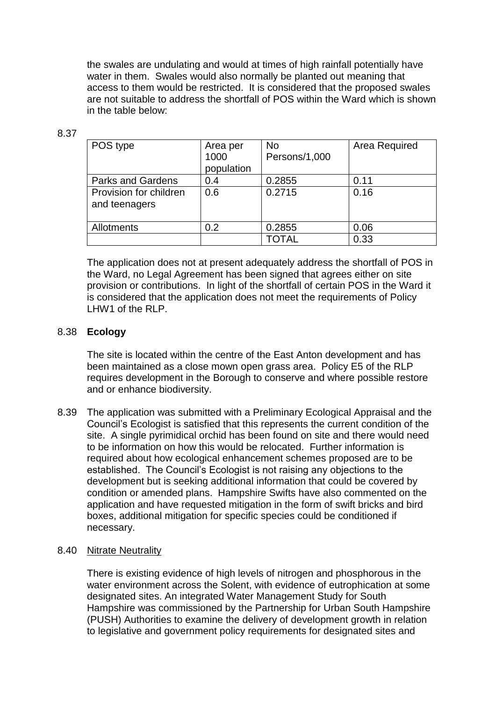the swales are undulating and would at times of high rainfall potentially have water in them. Swales would also normally be planted out meaning that access to them would be restricted. It is considered that the proposed swales are not suitable to address the shortfall of POS within the Ward which is shown in the table below:

| POS type                                | Area per<br>1000<br>population | <b>No</b><br>Persons/1,000 | Area Required |
|-----------------------------------------|--------------------------------|----------------------------|---------------|
| <b>Parks and Gardens</b>                | 0.4                            | 0.2855                     | 0.11          |
| Provision for children<br>and teenagers | 0.6                            | 0.2715                     | 0.16          |
| Allotments                              | 0.2                            | 0.2855                     | 0.06          |
|                                         |                                | TOTAL                      | 0.33          |

The application does not at present adequately address the shortfall of POS in the Ward, no Legal Agreement has been signed that agrees either on site provision or contributions. In light of the shortfall of certain POS in the Ward it is considered that the application does not meet the requirements of Policy LHW1 of the RLP.

# 8.38 **Ecology**

8.37

The site is located within the centre of the East Anton development and has been maintained as a close mown open grass area. Policy E5 of the RLP requires development in the Borough to conserve and where possible restore and or enhance biodiversity.

8.39 The application was submitted with a Preliminary Ecological Appraisal and the Council's Ecologist is satisfied that this represents the current condition of the site. A single pyrimidical orchid has been found on site and there would need to be information on how this would be relocated. Further information is required about how ecological enhancement schemes proposed are to be established. The Council's Ecologist is not raising any objections to the development but is seeking additional information that could be covered by condition or amended plans. Hampshire Swifts have also commented on the application and have requested mitigation in the form of swift bricks and bird boxes, additional mitigation for specific species could be conditioned if necessary.

#### 8.40 Nitrate Neutrality

There is existing evidence of high levels of nitrogen and phosphorous in the water environment across the Solent, with evidence of eutrophication at some designated sites. An integrated Water Management Study for South Hampshire was commissioned by the Partnership for Urban South Hampshire (PUSH) Authorities to examine the delivery of development growth in relation to legislative and government policy requirements for designated sites and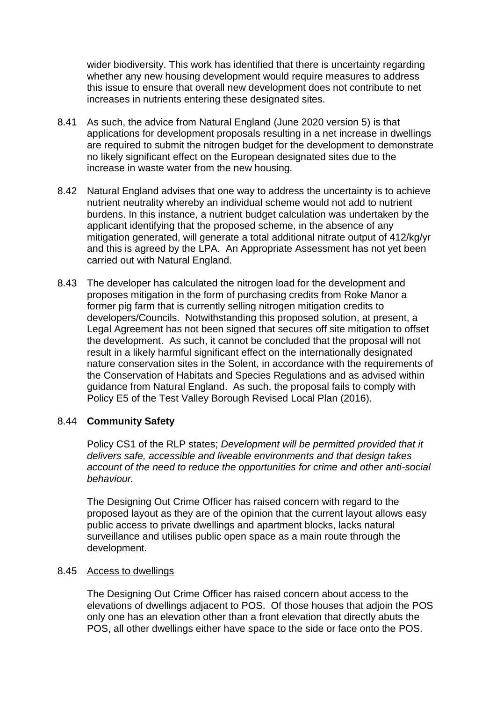wider biodiversity. This work has identified that there is uncertainty regarding whether any new housing development would require measures to address this issue to ensure that overall new development does not contribute to net increases in nutrients entering these designated sites.

- 8.41 As such, the advice from Natural England (June 2020 version 5) is that applications for development proposals resulting in a net increase in dwellings are required to submit the nitrogen budget for the development to demonstrate no likely significant effect on the European designated sites due to the increase in waste water from the new housing.
- 8.42 Natural England advises that one way to address the uncertainty is to achieve nutrient neutrality whereby an individual scheme would not add to nutrient burdens. In this instance, a nutrient budget calculation was undertaken by the applicant identifying that the proposed scheme, in the absence of any mitigation generated, will generate a total additional nitrate output of 412/kg/yr and this is agreed by the LPA. An Appropriate Assessment has not yet been carried out with Natural England.
- 8.43 The developer has calculated the nitrogen load for the development and proposes mitigation in the form of purchasing credits from Roke Manor a former pig farm that is currently selling nitrogen mitigation credits to developers/Councils. Notwithstanding this proposed solution, at present, a Legal Agreement has not been signed that secures off site mitigation to offset the development. As such, it cannot be concluded that the proposal will not result in a likely harmful significant effect on the internationally designated nature conservation sites in the Solent, in accordance with the requirements of the Conservation of Habitats and Species Regulations and as advised within guidance from Natural England. As such, the proposal fails to comply with Policy E5 of the Test Valley Borough Revised Local Plan (2016).

# 8.44 **Community Safety**

Policy CS1 of the RLP states; *Development will be permitted provided that it delivers safe, accessible and liveable environments and that design takes account of the need to reduce the opportunities for crime and other anti-social behaviour.* 

The Designing Out Crime Officer has raised concern with regard to the proposed layout as they are of the opinion that the current layout allows easy public access to private dwellings and apartment blocks, lacks natural surveillance and utilises public open space as a main route through the development.

# 8.45 Access to dwellings

The Designing Out Crime Officer has raised concern about access to the elevations of dwellings adjacent to POS. Of those houses that adjoin the POS only one has an elevation other than a front elevation that directly abuts the POS, all other dwellings either have space to the side or face onto the POS.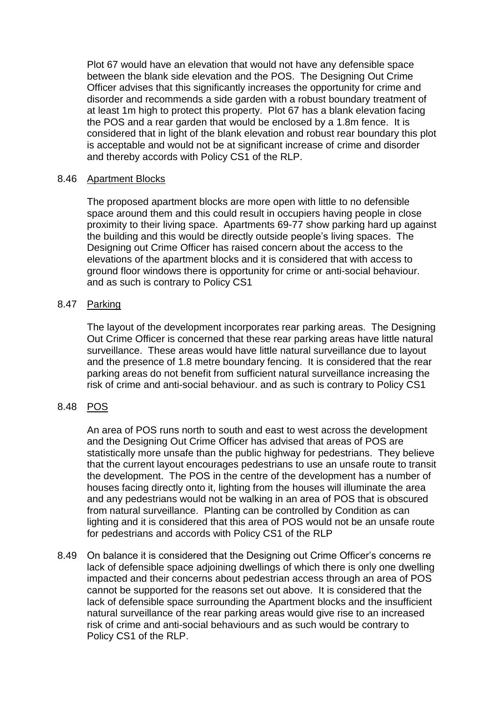Plot 67 would have an elevation that would not have any defensible space between the blank side elevation and the POS. The Designing Out Crime Officer advises that this significantly increases the opportunity for crime and disorder and recommends a side garden with a robust boundary treatment of at least 1m high to protect this property. Plot 67 has a blank elevation facing the POS and a rear garden that would be enclosed by a 1.8m fence. It is considered that in light of the blank elevation and robust rear boundary this plot is acceptable and would not be at significant increase of crime and disorder and thereby accords with Policy CS1 of the RLP.

# 8.46 Apartment Blocks

The proposed apartment blocks are more open with little to no defensible space around them and this could result in occupiers having people in close proximity to their living space. Apartments 69-77 show parking hard up against the building and this would be directly outside people's living spaces. The Designing out Crime Officer has raised concern about the access to the elevations of the apartment blocks and it is considered that with access to ground floor windows there is opportunity for crime or anti-social behaviour. and as such is contrary to Policy CS1

# 8.47 Parking

The layout of the development incorporates rear parking areas. The Designing Out Crime Officer is concerned that these rear parking areas have little natural surveillance. These areas would have little natural surveillance due to layout and the presence of 1.8 metre boundary fencing. It is considered that the rear parking areas do not benefit from sufficient natural surveillance increasing the risk of crime and anti-social behaviour. and as such is contrary to Policy CS1

# 8.48 POS

An area of POS runs north to south and east to west across the development and the Designing Out Crime Officer has advised that areas of POS are statistically more unsafe than the public highway for pedestrians. They believe that the current layout encourages pedestrians to use an unsafe route to transit the development. The POS in the centre of the development has a number of houses facing directly onto it, lighting from the houses will illuminate the area and any pedestrians would not be walking in an area of POS that is obscured from natural surveillance. Planting can be controlled by Condition as can lighting and it is considered that this area of POS would not be an unsafe route for pedestrians and accords with Policy CS1 of the RLP

8.49 On balance it is considered that the Designing out Crime Officer's concerns re lack of defensible space adjoining dwellings of which there is only one dwelling impacted and their concerns about pedestrian access through an area of POS cannot be supported for the reasons set out above. It is considered that the lack of defensible space surrounding the Apartment blocks and the insufficient natural surveillance of the rear parking areas would give rise to an increased risk of crime and anti-social behaviours and as such would be contrary to Policy CS1 of the RLP.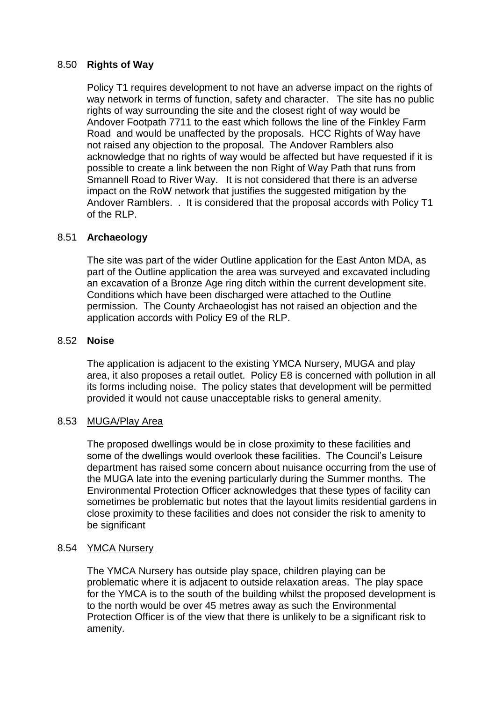# 8.50 **Rights of Way**

Policy T1 requires development to not have an adverse impact on the rights of way network in terms of function, safety and character. The site has no public rights of way surrounding the site and the closest right of way would be Andover Footpath 7711 to the east which follows the line of the Finkley Farm Road and would be unaffected by the proposals. HCC Rights of Way have not raised any objection to the proposal. The Andover Ramblers also acknowledge that no rights of way would be affected but have requested if it is possible to create a link between the non Right of Way Path that runs from Smannell Road to River Way. It is not considered that there is an adverse impact on the RoW network that justifies the suggested mitigation by the Andover Ramblers. . It is considered that the proposal accords with Policy T1 of the RLP.

# 8.51 **Archaeology**

The site was part of the wider Outline application for the East Anton MDA, as part of the Outline application the area was surveyed and excavated including an excavation of a Bronze Age ring ditch within the current development site. Conditions which have been discharged were attached to the Outline permission. The County Archaeologist has not raised an objection and the application accords with Policy E9 of the RLP.

# 8.52 **Noise**

The application is adjacent to the existing YMCA Nursery, MUGA and play area, it also proposes a retail outlet. Policy E8 is concerned with pollution in all its forms including noise. The policy states that development will be permitted provided it would not cause unacceptable risks to general amenity.

#### 8.53 MUGA/Play Area

The proposed dwellings would be in close proximity to these facilities and some of the dwellings would overlook these facilities. The Council's Leisure department has raised some concern about nuisance occurring from the use of the MUGA late into the evening particularly during the Summer months. The Environmental Protection Officer acknowledges that these types of facility can sometimes be problematic but notes that the layout limits residential gardens in close proximity to these facilities and does not consider the risk to amenity to be significant

#### 8.54 YMCA Nursery

The YMCA Nursery has outside play space, children playing can be problematic where it is adjacent to outside relaxation areas. The play space for the YMCA is to the south of the building whilst the proposed development is to the north would be over 45 metres away as such the Environmental Protection Officer is of the view that there is unlikely to be a significant risk to amenity.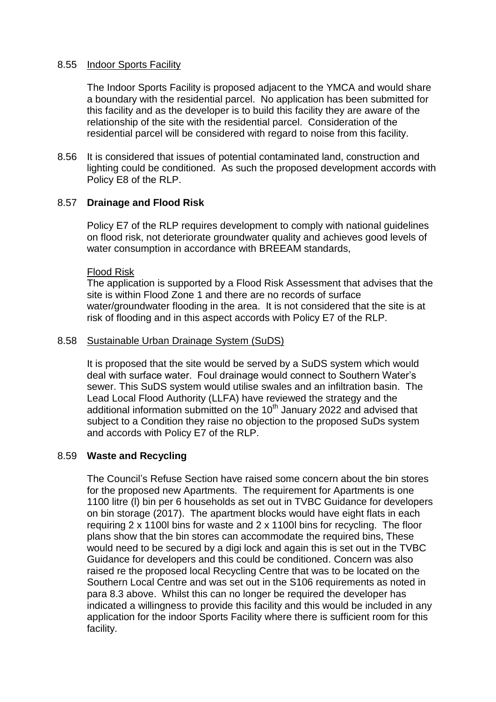#### 8.55 Indoor Sports Facility

The Indoor Sports Facility is proposed adjacent to the YMCA and would share a boundary with the residential parcel. No application has been submitted for this facility and as the developer is to build this facility they are aware of the relationship of the site with the residential parcel. Consideration of the residential parcel will be considered with regard to noise from this facility.

8.56 It is considered that issues of potential contaminated land, construction and lighting could be conditioned. As such the proposed development accords with Policy E8 of the RLP.

# 8.57 **Drainage and Flood Risk**

Policy E7 of the RLP requires development to comply with national guidelines on flood risk, not deteriorate groundwater quality and achieves good levels of water consumption in accordance with BREEAM standards,

#### Flood Risk

The application is supported by a Flood Risk Assessment that advises that the site is within Flood Zone 1 and there are no records of surface water/groundwater flooding in the area. It is not considered that the site is at risk of flooding and in this aspect accords with Policy E7 of the RLP.

#### 8.58 Sustainable Urban Drainage System (SuDS)

It is proposed that the site would be served by a SuDS system which would deal with surface water. Foul drainage would connect to Southern Water's sewer. This SuDS system would utilise swales and an infiltration basin. The Lead Local Flood Authority (LLFA) have reviewed the strategy and the additional information submitted on the  $10<sup>th</sup>$  January 2022 and advised that subject to a Condition they raise no objection to the proposed SuDs system and accords with Policy E7 of the RLP.

# 8.59 **Waste and Recycling**

The Council's Refuse Section have raised some concern about the bin stores for the proposed new Apartments. The requirement for Apartments is one 1100 litre (l) bin per 6 households as set out in TVBC Guidance for developers on bin storage (2017). The apartment blocks would have eight flats in each requiring 2 x 1100l bins for waste and 2 x 1100l bins for recycling. The floor plans show that the bin stores can accommodate the required bins, These would need to be secured by a digi lock and again this is set out in the TVBC Guidance for developers and this could be conditioned. Concern was also raised re the proposed local Recycling Centre that was to be located on the Southern Local Centre and was set out in the S106 requirements as noted in para 8.3 above. Whilst this can no longer be required the developer has indicated a willingness to provide this facility and this would be included in any application for the indoor Sports Facility where there is sufficient room for this facility.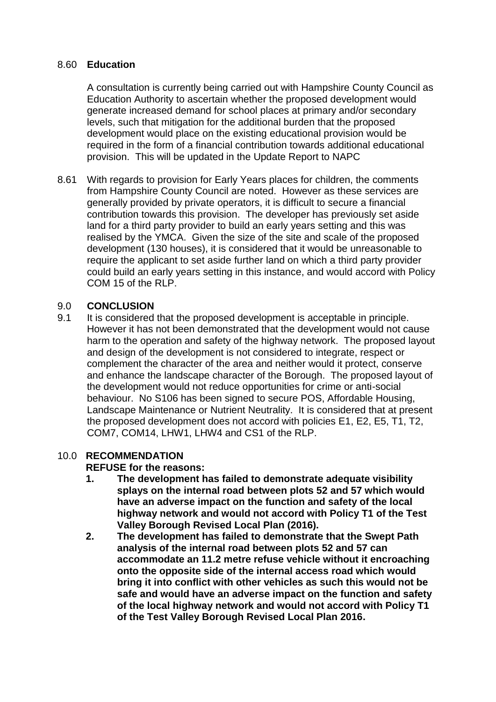# 8.60 **Education**

A consultation is currently being carried out with Hampshire County Council as Education Authority to ascertain whether the proposed development would generate increased demand for school places at primary and/or secondary levels, such that mitigation for the additional burden that the proposed development would place on the existing educational provision would be required in the form of a financial contribution towards additional educational provision. This will be updated in the Update Report to NAPC

8.61 With regards to provision for Early Years places for children, the comments from Hampshire County Council are noted. However as these services are generally provided by private operators, it is difficult to secure a financial contribution towards this provision. The developer has previously set aside land for a third party provider to build an early years setting and this was realised by the YMCA. Given the size of the site and scale of the proposed development (130 houses), it is considered that it would be unreasonable to require the applicant to set aside further land on which a third party provider could build an early years setting in this instance, and would accord with Policy COM 15 of the RLP.

# 9.0 **CONCLUSION**

9.1 It is considered that the proposed development is acceptable in principle. However it has not been demonstrated that the development would not cause harm to the operation and safety of the highway network. The proposed layout and design of the development is not considered to integrate, respect or complement the character of the area and neither would it protect, conserve and enhance the landscape character of the Borough. The proposed layout of the development would not reduce opportunities for crime or anti-social behaviour. No S106 has been signed to secure POS, Affordable Housing, Landscape Maintenance or Nutrient Neutrality. It is considered that at present the proposed development does not accord with policies E1, E2, E5, T1, T2, COM7, COM14, LHW1, LHW4 and CS1 of the RLP.

# 10.0 **RECOMMENDATION**

# **REFUSE for the reasons:**

- **1. The development has failed to demonstrate adequate visibility splays on the internal road between plots 52 and 57 which would have an adverse impact on the function and safety of the local highway network and would not accord with Policy T1 of the Test Valley Borough Revised Local Plan (2016).**
- **2. The development has failed to demonstrate that the Swept Path analysis of the internal road between plots 52 and 57 can accommodate an 11.2 metre refuse vehicle without it encroaching onto the opposite side of the internal access road which would bring it into conflict with other vehicles as such this would not be safe and would have an adverse impact on the function and safety of the local highway network and would not accord with Policy T1 of the Test Valley Borough Revised Local Plan 2016.**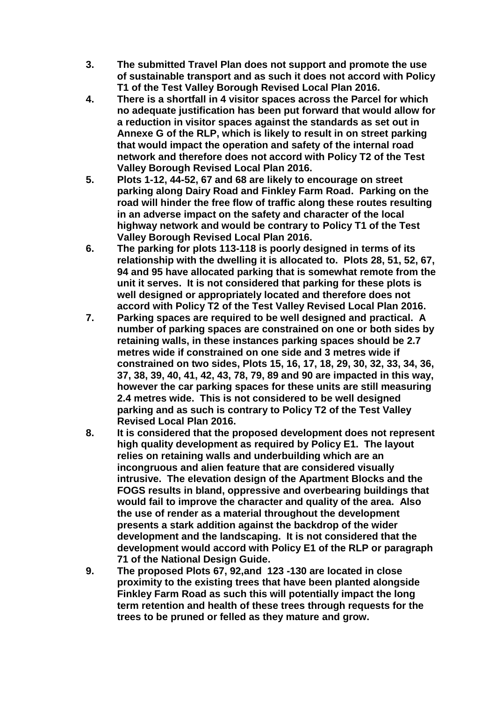- **3. The submitted Travel Plan does not support and promote the use of sustainable transport and as such it does not accord with Policy T1 of the Test Valley Borough Revised Local Plan 2016.**
- **4. There is a shortfall in 4 visitor spaces across the Parcel for which no adequate justification has been put forward that would allow for a reduction in visitor spaces against the standards as set out in Annexe G of the RLP, which is likely to result in on street parking that would impact the operation and safety of the internal road network and therefore does not accord with Policy T2 of the Test Valley Borough Revised Local Plan 2016.**
- **5. Plots 1-12, 44-52, 67 and 68 are likely to encourage on street parking along Dairy Road and Finkley Farm Road. Parking on the road will hinder the free flow of traffic along these routes resulting in an adverse impact on the safety and character of the local highway network and would be contrary to Policy T1 of the Test Valley Borough Revised Local Plan 2016.**
- **6. The parking for plots 113-118 is poorly designed in terms of its relationship with the dwelling it is allocated to. Plots 28, 51, 52, 67, 94 and 95 have allocated parking that is somewhat remote from the unit it serves. It is not considered that parking for these plots is well designed or appropriately located and therefore does not accord with Policy T2 of the Test Valley Revised Local Plan 2016.**
- **7. Parking spaces are required to be well designed and practical. A number of parking spaces are constrained on one or both sides by retaining walls, in these instances parking spaces should be 2.7 metres wide if constrained on one side and 3 metres wide if constrained on two sides, Plots 15, 16, 17, 18, 29, 30, 32, 33, 34, 36, 37, 38, 39, 40, 41, 42, 43, 78, 79, 89 and 90 are impacted in this way, however the car parking spaces for these units are still measuring 2.4 metres wide. This is not considered to be well designed parking and as such is contrary to Policy T2 of the Test Valley Revised Local Plan 2016.**
- **8. It is considered that the proposed development does not represent high quality development as required by Policy E1. The layout relies on retaining walls and underbuilding which are an incongruous and alien feature that are considered visually intrusive. The elevation design of the Apartment Blocks and the FOGS results in bland, oppressive and overbearing buildings that would fail to improve the character and quality of the area. Also the use of render as a material throughout the development presents a stark addition against the backdrop of the wider development and the landscaping. It is not considered that the development would accord with Policy E1 of the RLP or paragraph 71 of the National Design Guide.**
- **9. The proposed Plots 67, 92,and 123 -130 are located in close proximity to the existing trees that have been planted alongside Finkley Farm Road as such this will potentially impact the long term retention and health of these trees through requests for the trees to be pruned or felled as they mature and grow.**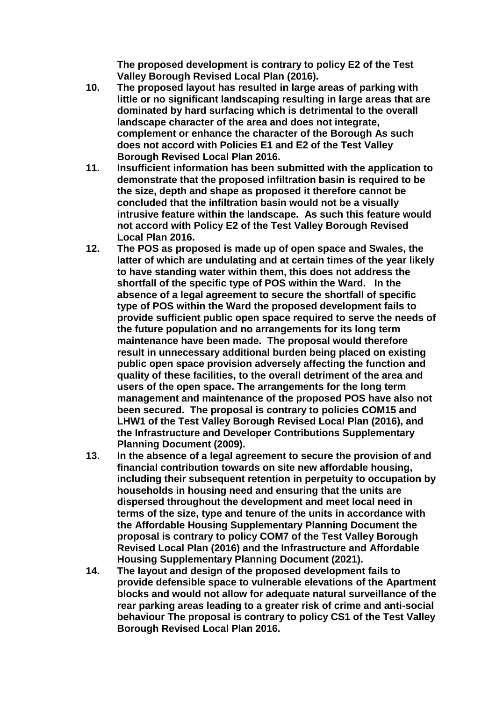**The proposed development is contrary to policy E2 of the Test Valley Borough Revised Local Plan (2016).**

- **10. The proposed layout has resulted in large areas of parking with little or no significant landscaping resulting in large areas that are dominated by hard surfacing which is detrimental to the overall landscape character of the area and does not integrate, complement or enhance the character of the Borough As such does not accord with Policies E1 and E2 of the Test Valley Borough Revised Local Plan 2016.**
- **11. Insufficient information has been submitted with the application to demonstrate that the proposed infiltration basin is required to be the size, depth and shape as proposed it therefore cannot be concluded that the infiltration basin would not be a visually intrusive feature within the landscape. As such this feature would not accord with Policy E2 of the Test Valley Borough Revised Local Plan 2016.**
- **12. The POS as proposed is made up of open space and Swales, the latter of which are undulating and at certain times of the year likely to have standing water within them, this does not address the shortfall of the specific type of POS within the Ward. In the absence of a legal agreement to secure the shortfall of specific type of POS within the Ward the proposed development fails to provide sufficient public open space required to serve the needs of the future population and no arrangements for its long term maintenance have been made. The proposal would therefore result in unnecessary additional burden being placed on existing public open space provision adversely affecting the function and quality of these facilities, to the overall detriment of the area and users of the open space. The arrangements for the long term management and maintenance of the proposed POS have also not been secured. The proposal is contrary to policies COM15 and LHW1 of the Test Valley Borough Revised Local Plan (2016), and the Infrastructure and Developer Contributions Supplementary Planning Document (2009).**
- **13. In the absence of a legal agreement to secure the provision of and financial contribution towards on site new affordable housing, including their subsequent retention in perpetuity to occupation by households in housing need and ensuring that the units are dispersed throughout the development and meet local need in terms of the size, type and tenure of the units in accordance with the Affordable Housing Supplementary Planning Document the proposal is contrary to policy COM7 of the Test Valley Borough Revised Local Plan (2016) and the Infrastructure and Affordable Housing Supplementary Planning Document (2021).**
- **14. The layout and design of the proposed development fails to provide defensible space to vulnerable elevations of the Apartment blocks and would not allow for adequate natural surveillance of the rear parking areas leading to a greater risk of crime and anti-social behaviour The proposal is contrary to policy CS1 of the Test Valley Borough Revised Local Plan 2016.**